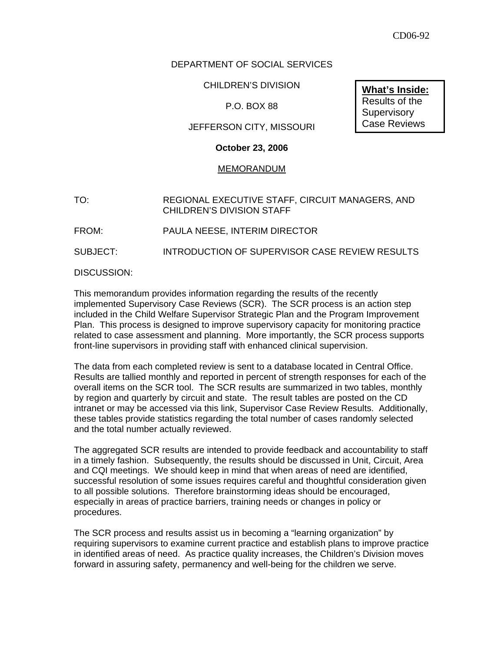# DEPARTMENT OF SOCIAL SERVICES

CHILDREN'S DIVISION

### P.O. BOX 88

### JEFFERSON CITY, MISSOURI

### **October 23, 2006**

#### MEMORANDUM

# TO: REGIONAL EXECUTIVE STAFF, CIRCUIT MANAGERS, AND CHILDREN'S DIVISION STAFF

FROM: PAULA NEESE, INTERIM DIRECTOR

SUBJECT: INTRODUCTION OF SUPERVISOR CASE REVIEW RESULTS

#### DISCUSSION:

This memorandum provides information regarding the results of the recently implemented Supervisory Case Reviews (SCR). The SCR process is an action step included in the Child Welfare Supervisor Strategic Plan and the Program Improvement Plan. This process is designed to improve supervisory capacity for monitoring practice related to case assessment and planning. More importantly, the SCR process supports front-line supervisors in providing staff with enhanced clinical supervision.

The data from each completed review is sent to a database located in Central Office. Results are tallied monthly and reported in percent of strength responses for each of the overall items on the SCR tool. The SCR results are summarized in two tables, monthly by region and quarterly by circuit and state. The result tables are posted on the CD intranet or may be accessed via this link, Supervisor Case Review Results. Additionally, these tables provide statistics regarding the total number of cases randomly selected and the total number actually reviewed.

The aggregated SCR results are intended to provide feedback and accountability to staff in a timely fashion. Subsequently, the results should be discussed in Unit, Circuit, Area and CQI meetings. We should keep in mind that when areas of need are identified, successful resolution of some issues requires careful and thoughtful consideration given to all possible solutions. Therefore brainstorming ideas should be encouraged, especially in areas of practice barriers, training needs or changes in policy or procedures.

The SCR process and results assist us in becoming a "learning organization" by requiring supervisors to examine current practice and establish plans to improve practice in identified areas of need. As practice quality increases, the Children's Division moves forward in assuring safety, permanency and well-being for the children we serve.

**What's Inside:** Results of the **Supervisory** Case Reviews